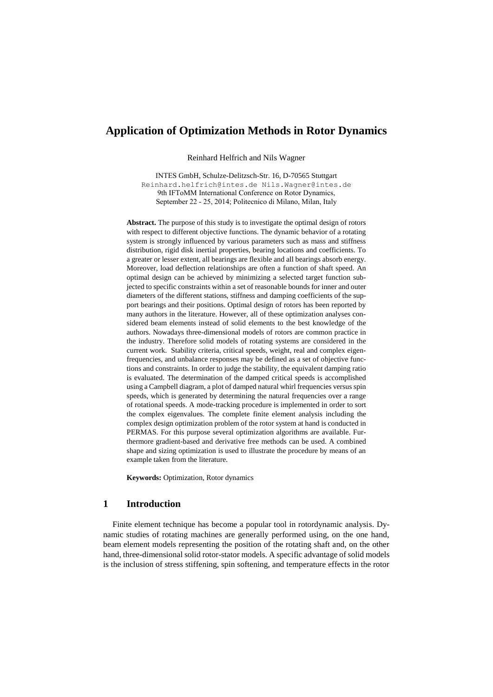# **Application of Optimization Methods in Rotor Dynamics**

Reinhard Helfrich and Nils Wagner

INTES GmbH, Schulze-Delitzsch-Str. 16, D-70565 Stuttgart Reinhard.helfrich@intes.de Nils.Wagner@intes.de [9th IFToMM International Confer](mailto:Reinhard.helfrich@intes.de)[ence on Rotor Dynamics,](mailto:Nils.Wagner@intes.de)  September 22 - 25, 2014; Politecnico di Milano, Milan, Italy

**Abstract.** The purpose of this study is to investigate the optimal design of rotors with respect to different objective functions. The dynamic behavior of a rotating system is strongly influenced by various parameters such as mass and stiffness distribution, rigid disk inertial properties, bearing locations and coefficients. To a greater or lesser extent, all bearings are flexible and all bearings absorb energy. Moreover, load deflection relationships are often a function of shaft speed. An optimal design can be achieved by minimizing a selected target function subjected to specific constraints within a set of reasonable bounds for inner and outer diameters of the different stations, stiffness and damping coefficients of the support bearings and their positions. Optimal design of rotors has been reported by many authors in the literature. However, all of these optimization analyses considered beam elements instead of solid elements to the best knowledge of the authors. Nowadays three-dimensional models of rotors are common practice in the industry. Therefore solid models of rotating systems are considered in the current work. Stability criteria, critical speeds, weight, real and complex eigenfrequencies, and unbalance responses may be defined as a set of objective functions and constraints. In order to judge the stability, the equivalent damping ratio is evaluated. The determination of the damped critical speeds is accomplished using a Campbell diagram, a plot of damped natural whirl frequencies versus spin speeds, which is generated by determining the natural frequencies over a range of rotational speeds. A mode-tracking procedure is implemented in order to sort the complex eigenvalues. The complete finite element analysis including the complex design optimization problem of the rotor system at hand is conducted in PERMAS. For this purpose several optimization algorithms are available. Furthermore gradient-based and derivative free methods can be used. A combined shape and sizing optimization is used to illustrate the procedure by means of an example taken from the literature.

**Keywords:** Optimization, Rotor dynamics

### **1 Introduction**

Finite element technique has become a popular tool in rotordynamic analysis. Dynamic studies of rotating machines are generally performed using, on the one hand, beam element models representing the position of the rotating shaft and, on the other hand, three-dimensional solid rotor-stator models. A specific advantage of solid models is the inclusion of stress stiffening, spin softening, and temperature effects in the rotor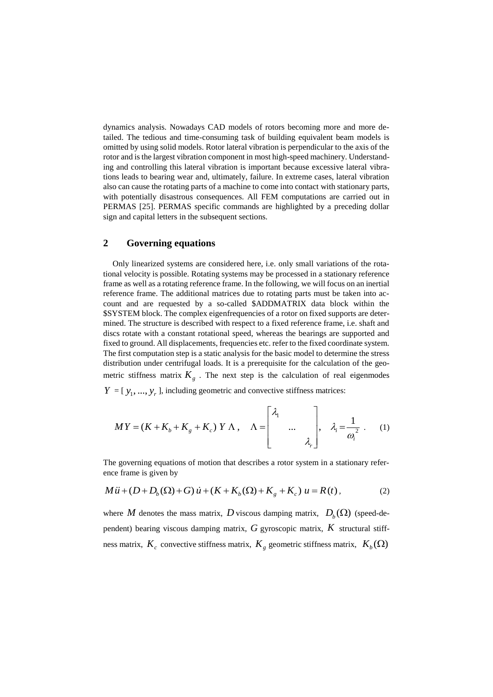dynamics analysis. Nowadays CAD models of rotors becoming more and more detailed. The tedious and time-consuming task of building equivalent beam models is omitted by using solid models. Rotor lateral vibration is perpendicular to the axis of the rotor and is the largest vibration component in most high-speed machinery. Understanding and controlling this lateral vibration is important because excessive lateral vibrations leads to bearing wear and, ultimately, failure. In extreme cases, lateral vibration also can cause the rotating parts of a machine to come into contact with stationary parts, with potentially disastrous consequences. All FEM computations are carried out in PERMAS [25]. PERMAS specific commands are highlighted by a preceding dollar sign and capital letters in the subsequent sections.

# **2 Governing equations**

Only linearized systems are considered here, i.e. only small variations of the rotational velocity is possible. Rotating systems may be processed in a stationary reference frame as well as a rotating reference frame. In the following, we will focus on an inertial reference frame. The additional matrices due to rotating parts must be taken into account and are requested by a so-called \$ADDMATRIX data block within the \$SYSTEM block. The complex eigenfrequencies of a rotor on fixed supports are determined. The structure is described with respect to a fixed reference frame, i.e. shaft and discs rotate with a constant rotational speed, whereas the bearings are supported and fixed to ground. All displacements, frequencies etc. refer to the fixed coordinate system. The first computation step is a static analysis for the basic model to determine the stress distribution under centrifugal loads. It is a prerequisite for the calculation of the geometric stiffness matrix  $K<sub>g</sub>$ . The next step is the calculation of real eigenmodes

 $Y = [y_1, ..., y_r]$ , including geometric and convective stiffness matrices:

$$
MY = (K + K_b + K_g + K_c) \, Y \wedge \,, \quad \Lambda = \begin{bmatrix} \lambda_1 & & \\ & \ddots & \\ & & \lambda_r \end{bmatrix}, \quad \lambda_i = \frac{1}{\omega_i^2} \, . \tag{1}
$$

The governing equations of motion that describes a rotor system in a stationary reference frame is given by

$$
M\ddot{u} + (D + D_b(\Omega) + G)\dot{u} + (K + K_b(\Omega) + K_g + K_c) u = R(t),
$$
\n(2)

where *M* denotes the mass matrix, *D* viscous damping matrix,  $D_b(\Omega)$  (speed-dependent) bearing viscous damping matrix, *G* gyroscopic matrix, *K* structural stiffness matrix,  $K_c$  convective stiffness matrix,  $K_g$  geometric stiffness matrix,  $K_b(\Omega)$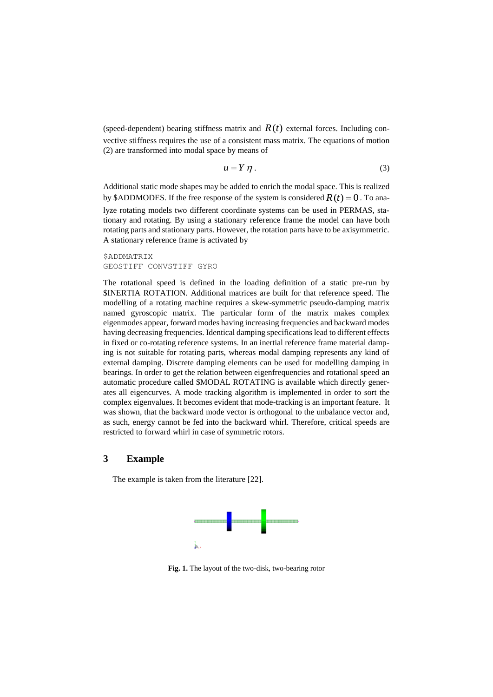(speed-dependent) bearing stiffness matrix and  $R(t)$  external forces. Including convective stiffness requires the use of a consistent mass matrix. The equations of motion (2) are transformed into modal space by means of

$$
u = Y \eta. \tag{3}
$$

Additional static mode shapes may be added to enrich the modal space. This is realized by \$ADDMODES. If the free response of the system is considered  $R(t) = 0$ . To analyze rotating models two different coordinate systems can be used in PERMAS, stationary and rotating. By using a stationary reference frame the model can have both rotating parts and stationary parts. However, the rotation parts have to be axisymmetric. A stationary reference frame is activated by

*SADDMATRIX* GEOSTIFF CONVSTIFF GYRO

The rotational speed is defined in the loading definition of a static pre-run by \$INERTIA ROTATION. Additional matrices are built for that reference speed. The modelling of a rotating machine requires a skew-symmetric pseudo-damping matrix named gyroscopic matrix. The particular form of the matrix makes complex eigenmodes appear, forward modes having increasing frequencies and backward modes having decreasing frequencies. Identical damping specifications lead to different effects in fixed or co-rotating reference systems. In an inertial reference frame material damping is not suitable for rotating parts, whereas modal damping represents any kind of external damping. Discrete damping elements can be used for modelling damping in bearings. In order to get the relation between eigenfrequencies and rotational speed an automatic procedure called \$MODAL ROTATING is available which directly generates all eigencurves. A mode tracking algorithm is implemented in order to sort the complex eigenvalues. It becomes evident that mode-tracking is an important feature. It was shown, that the backward mode vector is orthogonal to the unbalance vector and, as such, energy cannot be fed into the backward whirl. Therefore, critical speeds are restricted to forward whirl in case of symmetric rotors.

### **3 Example**

The example is taken from the literature [22].



**Fig. 1.** The layout of the two-disk, two-bearing rotor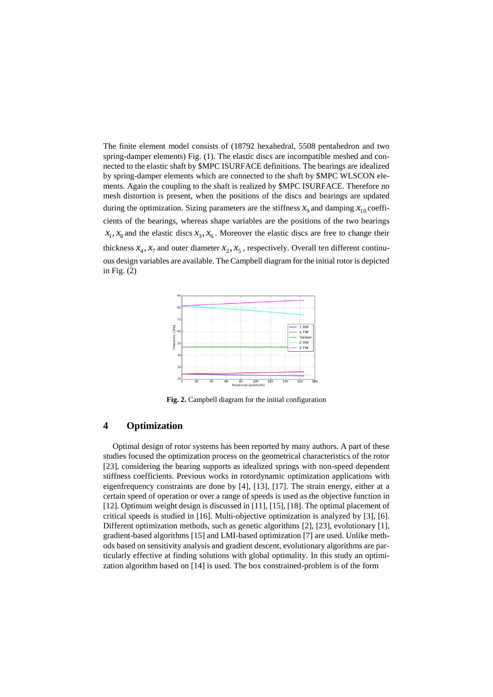The finite element model consists of (18792 hexahedral, 5508 pentahedron and two spring-damper elements) Fig. (1). The elastic discs are incompatible meshed and connected to the elastic shaft by \$MPC ISURFACE definitions. The bearings are idealized by spring-damper elements which are connected to the shaft by \$MPC WLSCON elements. Again the coupling to the shaft is realized by \$MPC ISURFACE. Therefore no mesh distortion is present, when the positions of the discs and bearings are updated during the optimization. Sizing parameters are the stiffness  $x_9$  and damping  $x_{10}$  coefficients of the bearings, whereas shape variables are the positions of the two bearings  $x_1, x_8$  and the elastic discs  $x_3, x_6$ . Moreover the elastic discs are free to change their thickness  $x_4$ ,  $x_7$  and outer diameter  $x_2$ ,  $x_5$ , respectively. Overall ten different continuous design variables are available. The Campbell diagram for the initial rotor is depicted in Fig.  $(2)$ 



**Fig. 2.** Campbell diagram for the initial configuration

## **4 Optimization**

Optimal design of rotor systems has been reported by many authors. A part of these studies focused the optimization process on the geometrical characteristics of the rotor [23], considering the bearing supports as idealized springs with non-speed dependent stiffness coefficients. Previous works in rotordynamic optimization applications with eigenfrequency constraints are done by [4], [13], [17]. The strain energy, either at a certain speed of operation or over a range of speeds is used as the objective function in [12]. Optimum weight design is discussed in [11], [15], [18]. The optimal placement of critical speeds is studied in [16]. Multi-objective optimization is analyzed by [3], [6]. Different optimization methods, such as genetic algorithms [2], [23], evolutionary [1], gradient-based algorithms [15] and LMI-based optimization [7] are used. Unlike methods based on sensitivity analysis and gradient descent, evolutionary algorithms are particularly effective at finding solutions with global optimality. In this study an optimization algorithm based on [14] is used. The box constrained-problem is of the form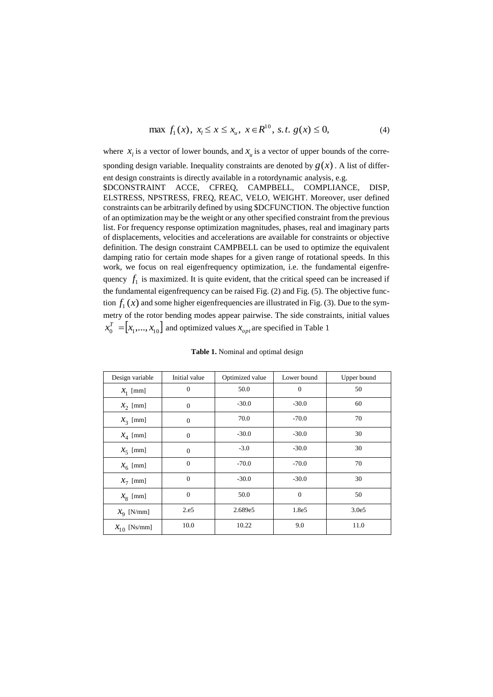$$
\max f_1(x), \ x_i \le x \le x_u, \ x \in R^{10}, \ s.t. \ g(x) \le 0,
$$
\n(4)

where  $x_i$  is a vector of lower bounds, and  $x_u$  is a vector of upper bounds of the corresponding design variable. Inequality constraints are denoted by  $g(x)$ . A list of different design constraints is directly available in a rotordynamic analysis, e.g. \$DCONSTRAINT ACCE, CFREQ, CAMPBELL, COMPLIANCE, DISP, ELSTRESS, NPSTRESS, FREQ, REAC, VELO, WEIGHT. Moreover, user defined constraints can be arbitrarily defined by using \$DCFUNCTION. The objective function of an optimization may be the weight or any other specified constraint from the previous list. For frequency response optimization magnitudes, phases, real and imaginary parts of displacements, velocities and accelerations are available for constraints or objective definition. The design constraint CAMPBELL can be used to optimize the equivalent damping ratio for certain mode shapes for a given range of rotational speeds. In this work, we focus on real eigenfrequency optimization, i.e. the fundamental eigenfrequency  $f_1$  is maximized. It is quite evident, that the critical speed can be increased if the fundamental eigenfrequency can be raised Fig. (2) and Fig. (5). The objective function  $f_1(x)$  and some higher eigenfrequencies are illustrated in Fig. (3). Due to the symmetry of the rotor bending modes appear pairwise. The side constraints, initial values  $x_0^T =$   $\left[x_1, \ldots, x_{10}\right]$  and optimized values  $x_{opt}$  are specified in Table 1

| Design variable        | Initial value  | Optimized value | Lower bound  | Upper bound |
|------------------------|----------------|-----------------|--------------|-------------|
| $X_1$ [mm]             | $\overline{0}$ | 50.0            | $\mathbf{0}$ | 50          |
| $\mathcal{X}_2$ [mm]   | $\mathbf{0}$   | $-30.0$         | $-30.0$      | 60          |
| $\mathcal{X}_3$ [mm]   | $\overline{0}$ | 70.0            | $-70.0$      | 70          |
| $X_4$ [mm]             | $\mathbf{0}$   | $-30.0$         | $-30.0$      | 30          |
| $X_5$ [mm]             | $\overline{0}$ | $-3.0$          | $-30.0$      | 30          |
| $X_6$ [mm]             | $\overline{0}$ | $-70.0$         | $-70.0$      | 70          |
| $x_7$ [mm]             | $\overline{0}$ | $-30.0$         | $-30.0$      | 30          |
| $X_8$ [mm]             | $\overline{0}$ | 50.0            | $\mathbf{0}$ | 50          |
| $\mathcal{X}_9$ [N/mm] | 2.e5           | 2.689e5         | 1.8e5        | 3.0e5       |
| $x_{10}$ [Ns/mm]       | 10.0           | 10.22           | 9.0          | 11.0        |

**Table 1.** Nominal and optimal design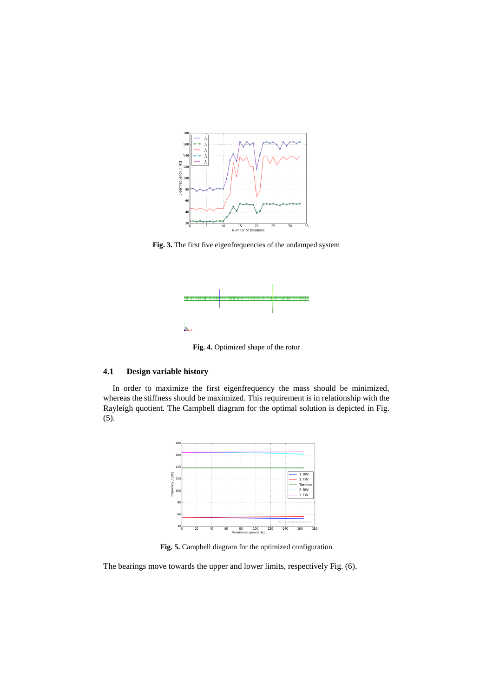

**Fig. 3.** The first five eigenfrequencies of the undamped system



**Fig. 4.** Optimized shape of the rotor

#### **4.1 Design variable history**

In order to maximize the first eigenfrequency the mass should be minimized, whereas the stiffness should be maximized. This requirement is in relationship with the Rayleigh quotient. The Campbell diagram for the optimal solution is depicted in Fig. (5).



**Fig. 5.** Campbell diagram for the optimized configuration

The bearings move towards the upper and lower limits, respectively Fig. (6).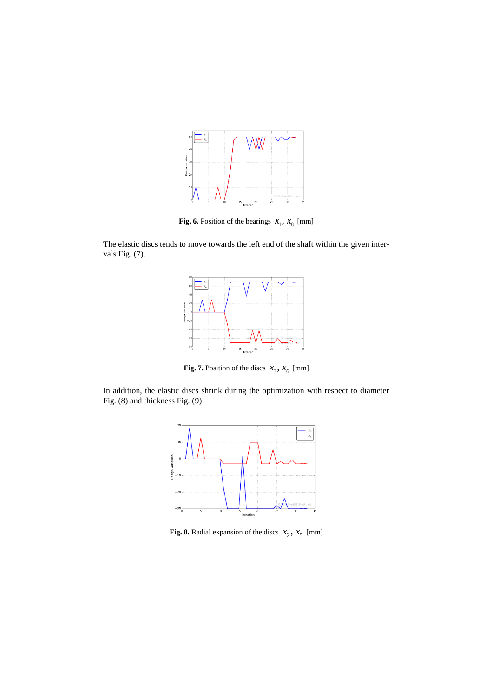

**Fig. 6.** Position of the bearings  $x_1$ ,  $x_8$  [mm]

The elastic discs tends to move towards the left end of the shaft within the given intervals Fig. (7).



**Fig. 7.** Position of the discs  $x_3$ ,  $x_6$  [mm]

In addition, the elastic discs shrink during the optimization with respect to diameter Fig. (8) and thickness Fig. (9)



**Fig. 8.** Radial expansion of the discs  $x_2$ ,  $x_5$  [mm]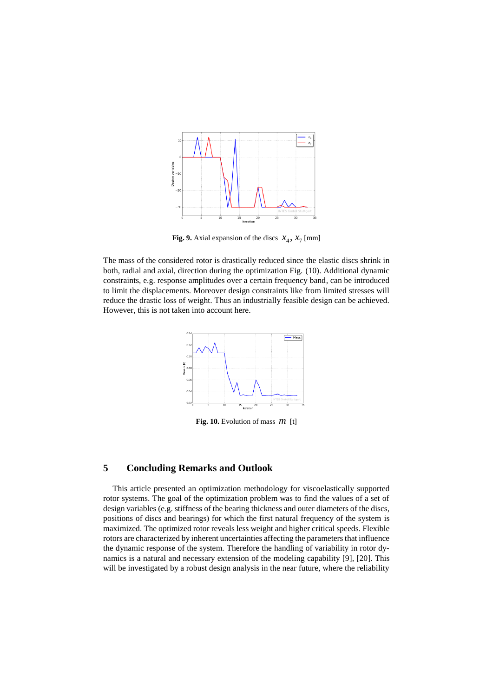

**Fig. 9.** Axial expansion of the discs  $x_4$ ,  $x_7$  [mm]

The mass of the considered rotor is drastically reduced since the elastic discs shrink in both, radial and axial, direction during the optimization Fig. (10). Additional dynamic constraints, e.g. response amplitudes over a certain frequency band, can be introduced to limit the displacements. Moreover design constraints like from limited stresses will reduce the drastic loss of weight. Thus an industrially feasible design can be achieved. However, this is not taken into account here.



**Fig. 10.** Evolution of mass *m* [t]

# **5 Concluding Remarks and Outlook**

This article presented an optimization methodology for viscoelastically supported rotor systems. The goal of the optimization problem was to find the values of a set of design variables (e.g. stiffness of the bearing thickness and outer diameters of the discs, positions of discs and bearings) for which the first natural frequency of the system is maximized. The optimized rotor reveals less weight and higher critical speeds. Flexible rotors are characterized by inherent uncertainties affecting the parameters that influence the dynamic response of the system. Therefore the handling of variability in rotor dynamics is a natural and necessary extension of the modeling capability [9], [20]. This will be investigated by a robust design analysis in the near future, where the reliability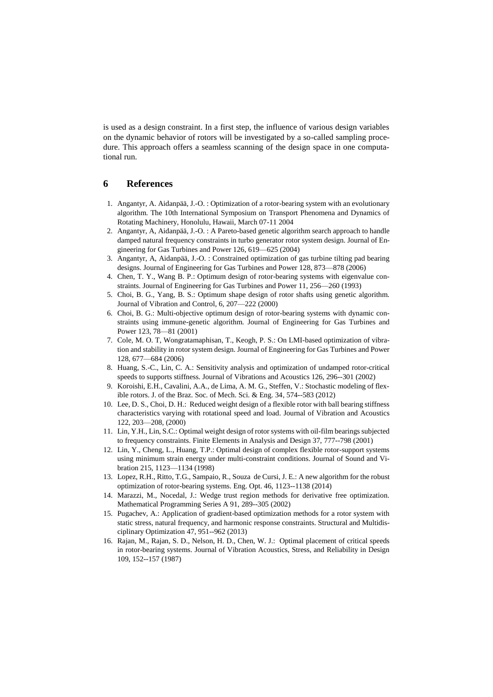is used as a design constraint. In a first step, the influence of various design variables on the dynamic behavior of rotors will be investigated by a so-called sampling procedure. This approach offers a seamless scanning of the design space in one computational run.

#### **6 References**

- 1. Angantyr, A. Aidanpää, J.-O. : Optimization of a rotor-bearing system with an evolutionary algorithm. The 10th International Symposium on Transport Phenomena and Dynamics of Rotating Machinery, Honolulu, Hawaii, March 07-11 2004
- 2. Angantyr, A, Aidanpää, J.-O. : A Pareto-based genetic algorithm search approach to handle damped natural frequency constraints in turbo generator rotor system design. Journal of Engineering for Gas Turbines and Power 126, 619—625 (2004)
- 3. Angantyr, A, Aidanpää, J.-O. : Constrained optimization of gas turbine tilting pad bearing designs. Journal of Engineering for Gas Turbines and Power 128, 873—878 (2006)
- 4. Chen, T. Y., Wang B. P.: Optimum design of rotor-bearing systems with eigenvalue constraints. Journal of Engineering for Gas Turbines and Power 11, 256—260 (1993)
- 5. Choi, B. G., Yang, B. S.: Optimum shape design of rotor shafts using genetic algorithm. Journal of Vibration and Control, 6, 207—222 (2000)
- 6. Choi, B. G.: Multi-objective optimum design of rotor-bearing systems with dynamic constraints using immune-genetic algorithm. Journal of Engineering for Gas Turbines and Power 123, 78—81 (2001)
- 7. Cole, M. O. T, Wongratamaphisan, T., Keogh, P. S.: On LMI-based optimization of vibration and stability in rotor system design. Journal of Engineering for Gas Turbines and Power 128, 677—684 (2006)
- 8. Huang, S.-C., Lin, C. A.: Sensitivity analysis and optimization of undamped rotor-critical speeds to supports stiffness. Journal of Vibrations and Acoustics 126, 296--301 (2002)
- 9. Koroishi, E.H., Cavalini, A.A., de Lima, A. M. G., Steffen, V.: Stochastic modeling of flexible rotors. J. of the Braz. Soc. of Mech. Sci. & Eng. 34, 574--583 (2012)
- 10. Lee, D. S., Choi, D. H.: Reduced weight design of a flexible rotor with ball bearing stiffness characteristics varying with rotational speed and load. Journal of Vibration and Acoustics 122, 203—208, (2000)
- 11. Lin, Y.H., Lin, S.C.: Optimal weight design of rotor systems with oil-film bearings subjected to frequency constraints. Finite Elements in Analysis and Design 37, 777--798 (2001)
- 12. Lin, Y., Cheng, L., Huang, T.P.: Optimal design of complex flexible rotor-support systems using minimum strain energy under multi-constraint conditions. Journal of Sound and Vibration 215, 1123—1134 (1998)
- 13. Lopez, R.H., Ritto, T.G., Sampaio, R., Souza de Cursi, J. E.: A new algorithm for the robust optimization of rotor-bearing systems. Eng. Opt. 46, 1123--1138 (2014)
- 14. Marazzi, M., Nocedal, J.: Wedge trust region methods for derivative free optimization. Mathematical Programming Series A 91, 289--305 (2002)
- 15. Pugachev, A.: Application of gradient-based optimization methods for a rotor system with static stress, natural frequency, and harmonic response constraints. Structural and Multidisciplinary Optimization 47, 951--962 (2013)
- 16. Rajan, M., Rajan, S. D., Nelson, H. D., Chen, W. J.: Optimal placement of critical speeds in rotor-bearing systems. Journal of Vibration Acoustics, Stress, and Reliability in Design 109, 152--157 (1987)